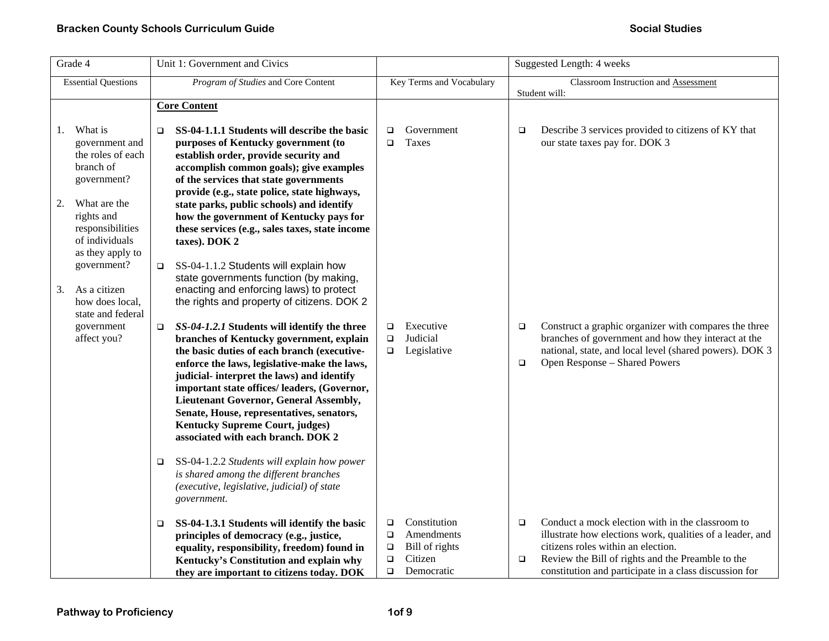| Grade 4        |                                                                                                                                                                                                                                                                        |                       | Unit 1: Government and Civics                                                                                                                                                                                                                                                                                                                                                                                                                                                                                                                                                                                                                                                                                                                                               | Suggested Length: 4 weeks                      |                                                                       |                                                       |                                                                                                                                                                                                                                                                                                     |
|----------------|------------------------------------------------------------------------------------------------------------------------------------------------------------------------------------------------------------------------------------------------------------------------|-----------------------|-----------------------------------------------------------------------------------------------------------------------------------------------------------------------------------------------------------------------------------------------------------------------------------------------------------------------------------------------------------------------------------------------------------------------------------------------------------------------------------------------------------------------------------------------------------------------------------------------------------------------------------------------------------------------------------------------------------------------------------------------------------------------------|------------------------------------------------|-----------------------------------------------------------------------|-------------------------------------------------------|-----------------------------------------------------------------------------------------------------------------------------------------------------------------------------------------------------------------------------------------------------------------------------------------------------|
|                | <b>Essential Questions</b>                                                                                                                                                                                                                                             |                       | Program of Studies and Core Content                                                                                                                                                                                                                                                                                                                                                                                                                                                                                                                                                                                                                                                                                                                                         |                                                | Key Terms and Vocabulary                                              | Classroom Instruction and Assessment<br>Student will: |                                                                                                                                                                                                                                                                                                     |
| 1.<br>2.<br>3. | What is<br>government and<br>the roles of each<br>branch of<br>government?<br>What are the<br>rights and<br>responsibilities<br>of individuals<br>as they apply to<br>government?<br>As a citizen<br>how does local,<br>state and federal<br>government<br>affect you? | □<br>$\Box$<br>$\Box$ | <b>Core Content</b><br>SS-04-1.1.1 Students will describe the basic<br>purposes of Kentucky government (to<br>establish order, provide security and<br>accomplish common goals); give examples<br>of the services that state governments<br>provide (e.g., state police, state highways,<br>state parks, public schools) and identify<br>how the government of Kentucky pays for<br>these services (e.g., sales taxes, state income<br>taxes). DOK 2<br>SS-04-1.1.2 Students will explain how<br>state governments function (by making,<br>enacting and enforcing laws) to protect<br>the rights and property of citizens. DOK 2<br>SS-04-1.2.1 Students will identify the three<br>branches of Kentucky government, explain<br>the basic duties of each branch (executive- | □<br>$\Box$<br>$\Box$<br>$\Box$<br>$\Box$      | Government<br>Taxes<br>Executive<br>Judicial<br>Legislative           | $\Box$<br>$\Box$                                      | Describe 3 services provided to citizens of KY that<br>our state taxes pay for. DOK 3<br>Construct a graphic organizer with compares the three<br>branches of government and how they interact at the<br>national, state, and local level (shared powers). DOK 3                                    |
|                |                                                                                                                                                                                                                                                                        | $\Box$<br>$\Box$      | enforce the laws, legislative-make the laws,<br>judicial- interpret the laws) and identify<br>important state offices/ leaders, (Governor,<br><b>Lieutenant Governor, General Assembly,</b><br>Senate, House, representatives, senators,<br><b>Kentucky Supreme Court, judges)</b><br>associated with each branch. DOK 2<br>SS-04-1.2.2 Students will explain how power<br>is shared among the different branches<br>(executive, legislative, judicial) of state<br>government.<br>SS-04-1.3.1 Students will identify the basic<br>principles of democracy (e.g., justice,<br>equality, responsibility, freedom) found in<br>Kentucky's Constitution and explain why<br>they are important to citizens today. DOK                                                           | $\Box$<br>$\Box$<br>$\Box$<br>$\Box$<br>$\Box$ | Constitution<br>Amendments<br>Bill of rights<br>Citizen<br>Democratic | $\Box$<br>$\Box$<br>$\Box$                            | Open Response - Shared Powers<br>Conduct a mock election with in the classroom to<br>illustrate how elections work, qualities of a leader, and<br>citizens roles within an election.<br>Review the Bill of rights and the Preamble to the<br>constitution and participate in a class discussion for |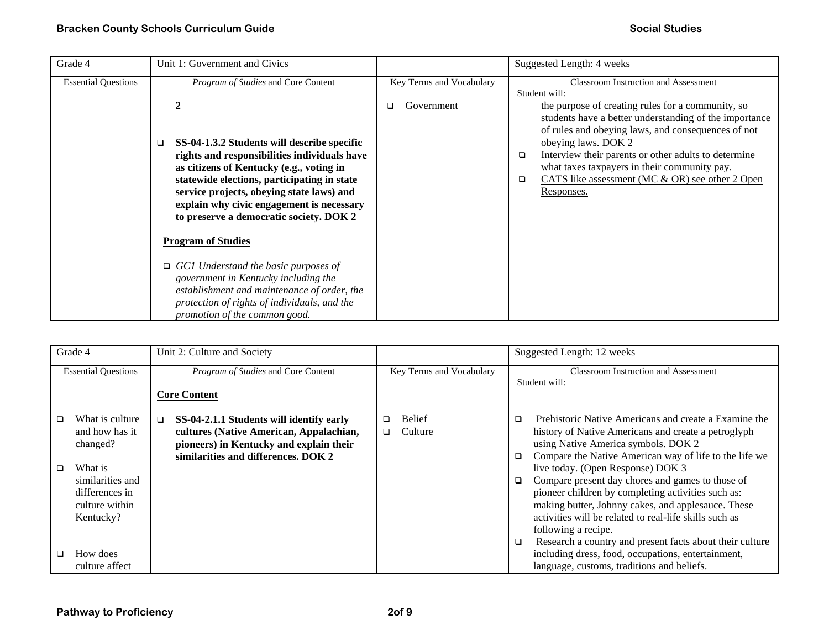| Grade 4                    | Unit 1: Government and Civics                                                                                                                                                                                                                                                                                                                                                                                                                                                                                                                                                             |                          | Suggested Length: 4 weeks                                                                                                                                                                                                                                                                                                                                                             |
|----------------------------|-------------------------------------------------------------------------------------------------------------------------------------------------------------------------------------------------------------------------------------------------------------------------------------------------------------------------------------------------------------------------------------------------------------------------------------------------------------------------------------------------------------------------------------------------------------------------------------------|--------------------------|---------------------------------------------------------------------------------------------------------------------------------------------------------------------------------------------------------------------------------------------------------------------------------------------------------------------------------------------------------------------------------------|
| <b>Essential Questions</b> | Program of Studies and Core Content                                                                                                                                                                                                                                                                                                                                                                                                                                                                                                                                                       | Key Terms and Vocabulary | Classroom Instruction and Assessment<br>Student will:                                                                                                                                                                                                                                                                                                                                 |
|                            | 2<br>SS-04-1.3.2 Students will describe specific<br>❏<br>rights and responsibilities individuals have<br>as citizens of Kentucky (e.g., voting in<br>statewide elections, participating in state<br>service projects, obeying state laws) and<br>explain why civic engagement is necessary<br>to preserve a democratic society. DOK 2<br><b>Program of Studies</b><br>$\Box$ GC1 Understand the basic purposes of<br>government in Kentucky including the<br>establishment and maintenance of order, the<br>protection of rights of individuals, and the<br>promotion of the common good. | Government<br>◻          | the purpose of creating rules for a community, so<br>students have a better understanding of the importance<br>of rules and obeying laws, and consequences of not<br>obeying laws. DOK 2<br>Interview their parents or other adults to determine<br>$\Box$<br>what taxes taxpayers in their community pay.<br>CATS like assessment (MC & OR) see other 2 Open<br>$\Box$<br>Responses. |

| Grade 4                    |                  | Unit 2: Culture and Society              |                          | Suggested Length: 12 weeks                                         |  |  |
|----------------------------|------------------|------------------------------------------|--------------------------|--------------------------------------------------------------------|--|--|
| <b>Essential Questions</b> |                  | Program of Studies and Core Content      | Key Terms and Vocabulary | <b>Classroom Instruction and Assessment</b>                        |  |  |
|                            |                  |                                          |                          | Student will:                                                      |  |  |
|                            |                  | <b>Core Content</b>                      |                          |                                                                    |  |  |
|                            |                  |                                          |                          |                                                                    |  |  |
| ◻                          | What is culture  | SS-04-2.1.1 Students will identify early | <b>Belief</b><br>□       | Prehistoric Native Americans and create a Examine the<br>$\Box$    |  |  |
|                            | and how has it   | cultures (Native American, Appalachian,  | Culture<br>o.            | history of Native Americans and create a petroglyph                |  |  |
|                            | changed?         | pioneers) in Kentucky and explain their  |                          | using Native America symbols. DOK 2                                |  |  |
|                            |                  | similarities and differences. DOK 2      |                          | Compare the Native American way of life to the life we<br>$\Box$   |  |  |
| ◻                          | What is          |                                          |                          | live today. (Open Response) DOK 3                                  |  |  |
|                            | similarities and |                                          |                          | Compare present day chores and games to those of<br>$\Box$         |  |  |
|                            | differences in   |                                          |                          | pioneer children by completing activities such as:                 |  |  |
|                            | culture within   |                                          |                          | making butter, Johnny cakes, and applesauce. These                 |  |  |
|                            | Kentucky?        |                                          |                          | activities will be related to real-life skills such as             |  |  |
|                            |                  |                                          |                          | following a recipe.                                                |  |  |
|                            |                  |                                          |                          | Research a country and present facts about their culture<br>$\Box$ |  |  |
| n.                         | How does         |                                          |                          | including dress, food, occupations, entertainment,                 |  |  |
|                            | culture affect   |                                          |                          | language, customs, traditions and beliefs.                         |  |  |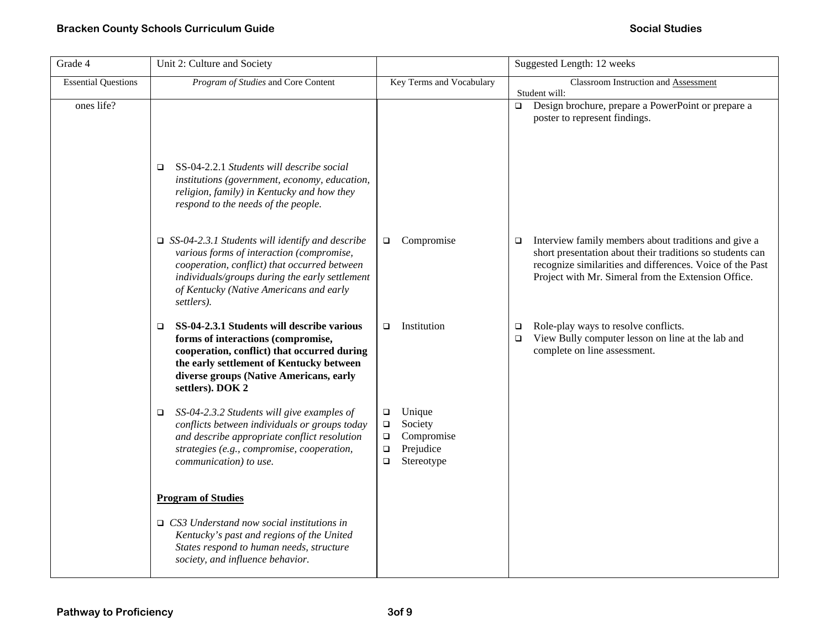| Grade 4                    | Unit 2: Culture and Society                                                                                                                                                                                                                                    |                                                                                                              | Suggested Length: 12 weeks                                                                                                                                                                                                                      |
|----------------------------|----------------------------------------------------------------------------------------------------------------------------------------------------------------------------------------------------------------------------------------------------------------|--------------------------------------------------------------------------------------------------------------|-------------------------------------------------------------------------------------------------------------------------------------------------------------------------------------------------------------------------------------------------|
| <b>Essential Questions</b> | Program of Studies and Core Content                                                                                                                                                                                                                            | Key Terms and Vocabulary                                                                                     | Classroom Instruction and Assessment<br>Student will:                                                                                                                                                                                           |
| ones life?                 | SS-04-2.2.1 Students will describe social<br>$\Box$<br>institutions (government, economy, education,                                                                                                                                                           |                                                                                                              | Design brochure, prepare a PowerPoint or prepare a<br>$\Box$<br>poster to represent findings.                                                                                                                                                   |
|                            | religion, family) in Kentucky and how they<br>respond to the needs of the people.                                                                                                                                                                              |                                                                                                              |                                                                                                                                                                                                                                                 |
|                            | $\Box$ SS-04-2.3.1 Students will identify and describe<br>various forms of interaction (compromise,<br>cooperation, conflict) that occurred between<br>individuals/groups during the early settlement<br>of Kentucky (Native Americans and early<br>settlers). | Compromise<br>$\Box$                                                                                         | Interview family members about traditions and give a<br>$\Box$<br>short presentation about their traditions so students can<br>recognize similarities and differences. Voice of the Past<br>Project with Mr. Simeral from the Extension Office. |
|                            | SS-04-2.3.1 Students will describe various<br>$\Box$<br>forms of interactions (compromise,<br>cooperation, conflict) that occurred during<br>the early settlement of Kentucky between<br>diverse groups (Native Americans, early<br>settlers). DOK 2           | Institution<br>$\Box$                                                                                        | Role-play ways to resolve conflicts.<br>$\Box$<br>View Bully computer lesson on line at the lab and<br>$\Box$<br>complete on line assessment.                                                                                                   |
|                            | SS-04-2.3.2 Students will give examples of<br>$\Box$<br>conflicts between individuals or groups today<br>and describe appropriate conflict resolution<br>strategies (e.g., compromise, cooperation,<br>communication) to use.                                  | Unique<br>$\Box$<br>Society<br>$\Box$<br>Compromise<br>$\Box$<br>Prejudice<br>$\Box$<br>$\Box$<br>Stereotype |                                                                                                                                                                                                                                                 |
|                            | <b>Program of Studies</b>                                                                                                                                                                                                                                      |                                                                                                              |                                                                                                                                                                                                                                                 |
|                            | $\Box$ CS3 Understand now social institutions in<br>Kentucky's past and regions of the United<br>States respond to human needs, structure<br>society, and influence behavior.                                                                                  |                                                                                                              |                                                                                                                                                                                                                                                 |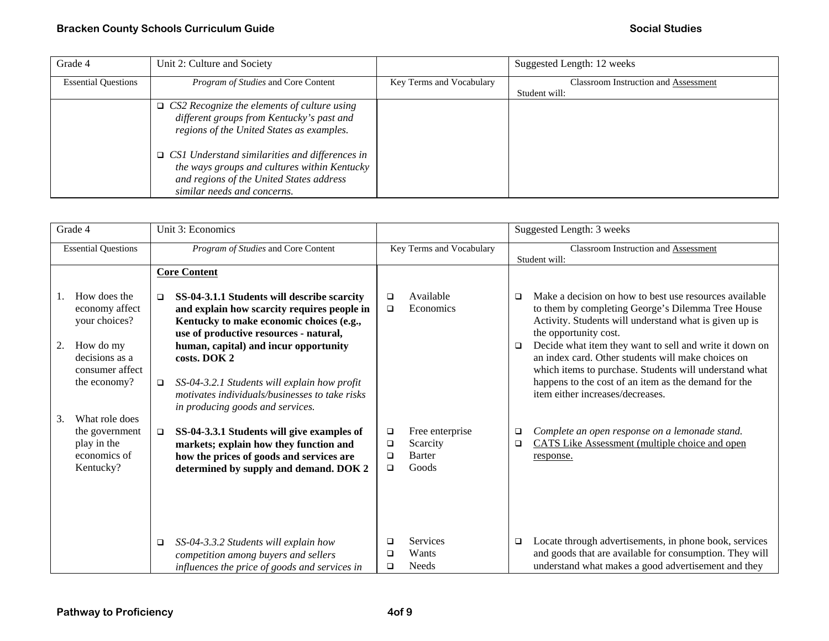| Grade 4                    | Unit 2: Culture and Society                                                                                                                                                      |                          | Suggested Length: 12 weeks                  |
|----------------------------|----------------------------------------------------------------------------------------------------------------------------------------------------------------------------------|--------------------------|---------------------------------------------|
| <b>Essential Questions</b> | <i>Program of Studies</i> and Core Content                                                                                                                                       | Key Terms and Vocabulary | <b>Classroom Instruction and Assessment</b> |
|                            |                                                                                                                                                                                  |                          | Student will:                               |
|                            | $\Box$ CS2 Recognize the elements of culture using                                                                                                                               |                          |                                             |
|                            | different groups from Kentucky's past and                                                                                                                                        |                          |                                             |
|                            | regions of the United States as examples.                                                                                                                                        |                          |                                             |
|                            | $\Box$ CS1 Understand similarities and differences in<br>the ways groups and cultures within Kentucky<br>and regions of the United States address<br>similar needs and concerns. |                          |                                             |

| Grade 4                    |                                                                              |        | Unit 3: Economics                                                                                                                                                                                                         |                          |                                                       | Suggested Length: 3 weeks                             |                                                                                                                                                                                                                                                           |
|----------------------------|------------------------------------------------------------------------------|--------|---------------------------------------------------------------------------------------------------------------------------------------------------------------------------------------------------------------------------|--------------------------|-------------------------------------------------------|-------------------------------------------------------|-----------------------------------------------------------------------------------------------------------------------------------------------------------------------------------------------------------------------------------------------------------|
| <b>Essential Questions</b> |                                                                              |        | Program of Studies and Core Content                                                                                                                                                                                       | Key Terms and Vocabulary |                                                       | Classroom Instruction and Assessment<br>Student will: |                                                                                                                                                                                                                                                           |
|                            |                                                                              |        | <b>Core Content</b>                                                                                                                                                                                                       |                          |                                                       |                                                       |                                                                                                                                                                                                                                                           |
| 2.                         | How does the<br>economy affect<br>your choices?<br>How do my                 | $\Box$ | SS-04-3.1.1 Students will describe scarcity<br>and explain how scarcity requires people in<br>Kentucky to make economic choices (e.g.,<br>use of productive resources - natural,<br>human, capital) and incur opportunity | □<br>$\Box$              | Available<br>Economics                                | $\Box$<br>$\Box$                                      | Make a decision on how to best use resources available<br>to them by completing George's Dilemma Tree House<br>Activity. Students will understand what is given up is<br>the opportunity cost.<br>Decide what item they want to sell and write it down on |
|                            | decisions as a<br>consumer affect<br>the economy?                            | $\Box$ | costs. DOK 2<br>SS-04-3.2.1 Students will explain how profit<br>motivates individuals/businesses to take risks<br>in producing goods and services.                                                                        |                          |                                                       |                                                       | an index card. Other students will make choices on<br>which items to purchase. Students will understand what<br>happens to the cost of an item as the demand for the<br>item either increases/decreases.                                                  |
| 3.                         | What role does<br>the government<br>play in the<br>economics of<br>Kentucky? | $\Box$ | SS-04-3.3.1 Students will give examples of<br>markets; explain how they function and<br>how the prices of goods and services are<br>determined by supply and demand. DOK 2                                                | □<br>□<br>□<br>$\Box$    | Free enterprise<br>Scarcity<br><b>Barter</b><br>Goods | $\Box$<br>$\Box$                                      | Complete an open response on a lemonade stand.<br>CATS Like Assessment (multiple choice and open<br>response.                                                                                                                                             |
|                            |                                                                              | $\Box$ | SS-04-3.3.2 Students will explain how<br>competition among buyers and sellers<br>influences the price of goods and services in                                                                                            | □<br>□<br>$\Box$         | Services<br>Wants<br><b>Needs</b>                     | $\Box$                                                | Locate through advertisements, in phone book, services<br>and goods that are available for consumption. They will<br>understand what makes a good advertisement and they                                                                                  |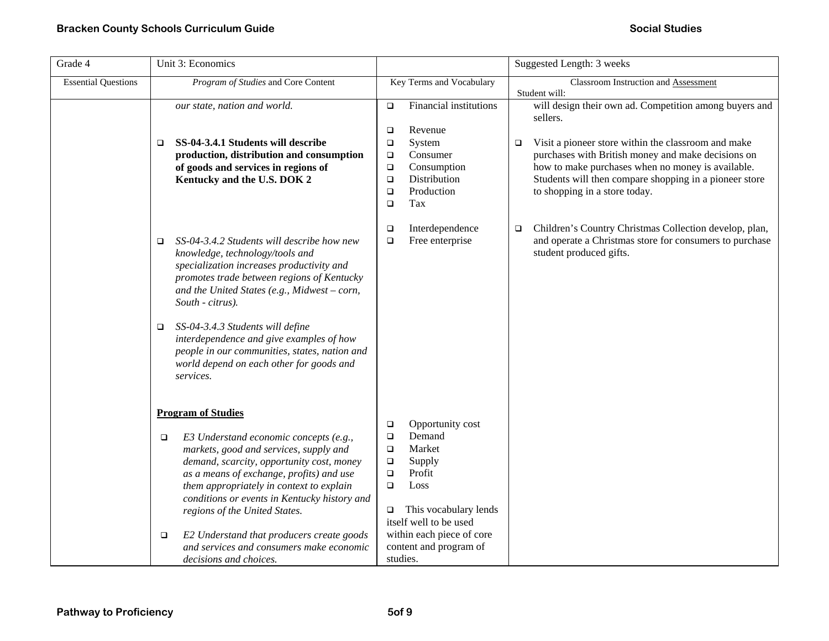| Grade 4                    | Unit 3: Economics                                                                                                                                                                                                                                                                                                                                                                                                                                                          |                                                                                                                                                                                                                                                              | Suggested Length: 3 weeks                                                                                                                                                                                                                                                                                                                 |
|----------------------------|----------------------------------------------------------------------------------------------------------------------------------------------------------------------------------------------------------------------------------------------------------------------------------------------------------------------------------------------------------------------------------------------------------------------------------------------------------------------------|--------------------------------------------------------------------------------------------------------------------------------------------------------------------------------------------------------------------------------------------------------------|-------------------------------------------------------------------------------------------------------------------------------------------------------------------------------------------------------------------------------------------------------------------------------------------------------------------------------------------|
| <b>Essential Questions</b> | Program of Studies and Core Content                                                                                                                                                                                                                                                                                                                                                                                                                                        | Key Terms and Vocabulary                                                                                                                                                                                                                                     | Classroom Instruction and Assessment<br>Student will:                                                                                                                                                                                                                                                                                     |
|                            | our state, nation and world.<br>SS-04-3.4.1 Students will describe<br>$\Box$<br>production, distribution and consumption<br>of goods and services in regions of<br>Kentucky and the U.S. DOK 2                                                                                                                                                                                                                                                                             | Financial institutions<br>$\Box$<br>Revenue<br>$\Box$<br>System<br>$\Box$<br>Consumer<br>$\Box$<br>Consumption<br>$\Box$<br>Distribution<br>$\Box$<br>Production<br>$\Box$<br>Tax<br>$\Box$                                                                  | will design their own ad. Competition among buyers and<br>sellers.<br>Visit a pioneer store within the classroom and make<br>$\Box$<br>purchases with British money and make decisions on<br>how to make purchases when no money is available.<br>Students will then compare shopping in a pioneer store<br>to shopping in a store today. |
|                            | SS-04-3.4.2 Students will describe how new<br>$\Box$<br>knowledge, technology/tools and<br>specialization increases productivity and<br>promotes trade between regions of Kentucky<br>and the United States (e.g., Midwest - corn,<br>South - citrus).<br>SS-04-3.4.3 Students will define<br>$\Box$<br>interdependence and give examples of how<br>people in our communities, states, nation and<br>world depend on each other for goods and<br>services.                 | Interdependence<br>$\Box$<br>Free enterprise<br>$\Box$                                                                                                                                                                                                       | Children's Country Christmas Collection develop, plan,<br>$\Box$<br>and operate a Christmas store for consumers to purchase<br>student produced gifts.                                                                                                                                                                                    |
|                            | <b>Program of Studies</b><br>E3 Understand economic concepts (e.g.,<br>$\Box$<br>markets, good and services, supply and<br>demand, scarcity, opportunity cost, money<br>as a means of exchange, profits) and use<br>them appropriately in context to explain<br>conditions or events in Kentucky history and<br>regions of the United States.<br>E2 Understand that producers create goods<br>$\Box$<br>and services and consumers make economic<br>decisions and choices. | Opportunity cost<br>$\Box$<br>Demand<br>$\Box$<br>Market<br>$\Box$<br>Supply<br>$\Box$<br>Profit<br>$\Box$<br>Loss<br>$\Box$<br>This vocabulary lends<br>$\Box$<br>itself well to be used<br>within each piece of core<br>content and program of<br>studies. |                                                                                                                                                                                                                                                                                                                                           |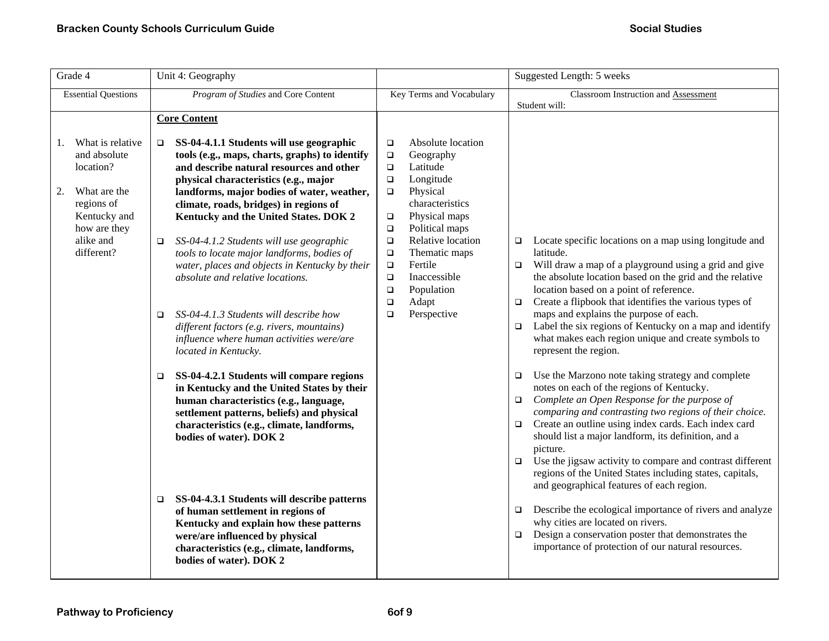| Grade 4                                                                                                                                            | Unit 4: Geography                                                                                                                                                                                                                                                                                                                                                                                  |                                                                                                                                                                                                                                                                                                   | Suggested Length: 5 weeks                                                                                                                                                                                                                                                                                                                                                                                                                                                                     |  |  |
|----------------------------------------------------------------------------------------------------------------------------------------------------|----------------------------------------------------------------------------------------------------------------------------------------------------------------------------------------------------------------------------------------------------------------------------------------------------------------------------------------------------------------------------------------------------|---------------------------------------------------------------------------------------------------------------------------------------------------------------------------------------------------------------------------------------------------------------------------------------------------|-----------------------------------------------------------------------------------------------------------------------------------------------------------------------------------------------------------------------------------------------------------------------------------------------------------------------------------------------------------------------------------------------------------------------------------------------------------------------------------------------|--|--|
| <b>Essential Questions</b>                                                                                                                         | Program of Studies and Core Content                                                                                                                                                                                                                                                                                                                                                                | Key Terms and Vocabulary                                                                                                                                                                                                                                                                          | Classroom Instruction and Assessment                                                                                                                                                                                                                                                                                                                                                                                                                                                          |  |  |
| What is relative<br>1.<br>and absolute<br>location?<br>2.<br>What are the<br>regions of<br>Kentucky and<br>how are they<br>alike and<br>different? | <b>Core Content</b><br>SS-04-4.1.1 Students will use geographic<br>$\Box$<br>tools (e.g., maps, charts, graphs) to identify<br>and describe natural resources and other<br>physical characteristics (e.g., major<br>landforms, major bodies of water, weather,<br>climate, roads, bridges) in regions of<br>Kentucky and the United States. DOK 2<br>SS-04-4.1.2 Students will use geographic<br>□ | Student will:<br>Absolute location<br>$\Box$<br>$\Box$<br>Geography<br>Latitude<br>$\Box$<br>Longitude<br>$\Box$<br>Physical<br>$\Box$<br>characteristics<br>Physical maps<br>$\Box$<br>Political maps<br>$\Box$<br>Relative location<br>$\Box$<br>$\Box$<br>latitude.<br>Thematic maps<br>$\Box$ | Locate specific locations on a map using longitude and                                                                                                                                                                                                                                                                                                                                                                                                                                        |  |  |
|                                                                                                                                                    | tools to locate major landforms, bodies of<br>water, places and objects in Kentucky by their<br>absolute and relative locations.<br>SS-04-4.1.3 Students will describe how<br>$\Box$<br>different factors (e.g. rivers, mountains)<br>influence where human activities were/are<br>located in Kentucky.                                                                                            | Fertile<br>$\Box$<br>$\Box$<br>Inaccessible<br>$\Box$<br>Population<br>$\Box$<br>Adapt<br>$\Box$<br>$\Box$<br>Perspective<br>$\Box$<br>$\Box$                                                                                                                                                     | Will draw a map of a playground using a grid and give<br>the absolute location based on the grid and the relative<br>location based on a point of reference.<br>Create a flipbook that identifies the various types of<br>maps and explains the purpose of each.<br>Label the six regions of Kentucky on a map and identify<br>what makes each region unique and create symbols to<br>represent the region.                                                                                   |  |  |
|                                                                                                                                                    | SS-04-4.2.1 Students will compare regions<br>$\Box$<br>in Kentucky and the United States by their<br>human characteristics (e.g., language,<br>settlement patterns, beliefs) and physical<br>characteristics (e.g., climate, landforms,<br>bodies of water). DOK 2<br>SS-04-4.3.1 Students will describe patterns<br>□                                                                             | $\Box$<br>$\Box$<br>$\Box$<br>picture.<br>$\Box$                                                                                                                                                                                                                                                  | Use the Marzono note taking strategy and complete<br>notes on each of the regions of Kentucky.<br>Complete an Open Response for the purpose of<br>comparing and contrasting two regions of their choice.<br>Create an outline using index cards. Each index card<br>should list a major landform, its definition, and a<br>Use the jigsaw activity to compare and contrast different<br>regions of the United States including states, capitals,<br>and geographical features of each region. |  |  |
|                                                                                                                                                    | of human settlement in regions of<br>Kentucky and explain how these patterns<br>were/are influenced by physical<br>characteristics (e.g., climate, landforms,<br>bodies of water). DOK 2                                                                                                                                                                                                           | $\Box$<br>why cities are located on rivers.<br>$\Box$                                                                                                                                                                                                                                             | Describe the ecological importance of rivers and analyze<br>Design a conservation poster that demonstrates the<br>importance of protection of our natural resources.                                                                                                                                                                                                                                                                                                                          |  |  |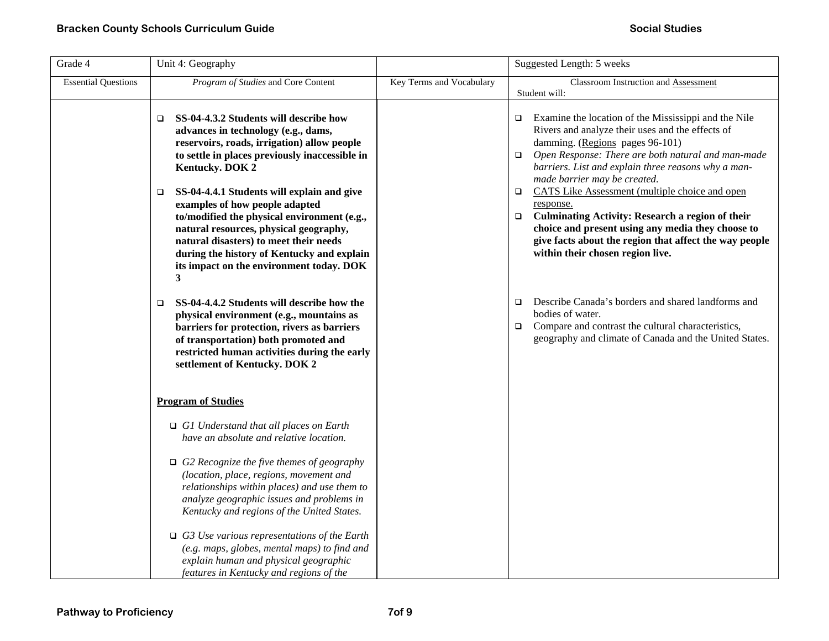| Grade 4                    | Unit 4: Geography                                                                                                                                                                                                                                                                                                                                                                                                                                                                                                                  |                          | Suggested Length: 5 weeks                                                                                                                                                                                                                                                                                                                                                                                                                                                                                                                                                                                     |
|----------------------------|------------------------------------------------------------------------------------------------------------------------------------------------------------------------------------------------------------------------------------------------------------------------------------------------------------------------------------------------------------------------------------------------------------------------------------------------------------------------------------------------------------------------------------|--------------------------|---------------------------------------------------------------------------------------------------------------------------------------------------------------------------------------------------------------------------------------------------------------------------------------------------------------------------------------------------------------------------------------------------------------------------------------------------------------------------------------------------------------------------------------------------------------------------------------------------------------|
| <b>Essential Questions</b> | Program of Studies and Core Content                                                                                                                                                                                                                                                                                                                                                                                                                                                                                                | Key Terms and Vocabulary | Classroom Instruction and Assessment<br>Student will:                                                                                                                                                                                                                                                                                                                                                                                                                                                                                                                                                         |
|                            | SS-04-4.3.2 Students will describe how<br>$\Box$<br>advances in technology (e.g., dams,<br>reservoirs, roads, irrigation) allow people<br>to settle in places previously inaccessible in<br>Kentucky. DOK 2<br>SS-04-4.4.1 Students will explain and give<br>$\Box$<br>examples of how people adapted<br>to/modified the physical environment (e.g.,<br>natural resources, physical geography,<br>natural disasters) to meet their needs<br>during the history of Kentucky and explain<br>its impact on the environment today. DOK |                          | Examine the location of the Mississippi and the Nile<br>$\Box$<br>Rivers and analyze their uses and the effects of<br>damming. (Regions pages 96-101)<br>Open Response: There are both natural and man-made<br>$\Box$<br>barriers. List and explain three reasons why a man-<br>made barrier may be created.<br>CATS Like Assessment (multiple choice and open<br>$\Box$<br>response.<br><b>Culminating Activity: Research a region of their</b><br>$\Box$<br>choice and present using any media they choose to<br>give facts about the region that affect the way people<br>within their chosen region live. |
|                            | 3<br>SS-04-4.4.2 Students will describe how the<br>$\Box$<br>physical environment (e.g., mountains as<br>barriers for protection, rivers as barriers<br>of transportation) both promoted and<br>restricted human activities during the early<br>settlement of Kentucky. DOK 2                                                                                                                                                                                                                                                      |                          | Describe Canada's borders and shared landforms and<br>$\Box$<br>bodies of water.<br>Compare and contrast the cultural characteristics,<br>$\Box$<br>geography and climate of Canada and the United States.                                                                                                                                                                                                                                                                                                                                                                                                    |
|                            | <b>Program of Studies</b>                                                                                                                                                                                                                                                                                                                                                                                                                                                                                                          |                          |                                                                                                                                                                                                                                                                                                                                                                                                                                                                                                                                                                                                               |
|                            | $\Box$ G1 Understand that all places on Earth<br>have an absolute and relative location.                                                                                                                                                                                                                                                                                                                                                                                                                                           |                          |                                                                                                                                                                                                                                                                                                                                                                                                                                                                                                                                                                                                               |
|                            | $\Box$ G2 Recognize the five themes of geography<br>(location, place, regions, movement and<br>relationships within places) and use them to<br>analyze geographic issues and problems in<br>Kentucky and regions of the United States.                                                                                                                                                                                                                                                                                             |                          |                                                                                                                                                                                                                                                                                                                                                                                                                                                                                                                                                                                                               |
|                            | $\Box$ G3 Use various representations of the Earth<br>(e.g. maps, globes, mental maps) to find and<br>explain human and physical geographic<br>features in Kentucky and regions of the                                                                                                                                                                                                                                                                                                                                             |                          |                                                                                                                                                                                                                                                                                                                                                                                                                                                                                                                                                                                                               |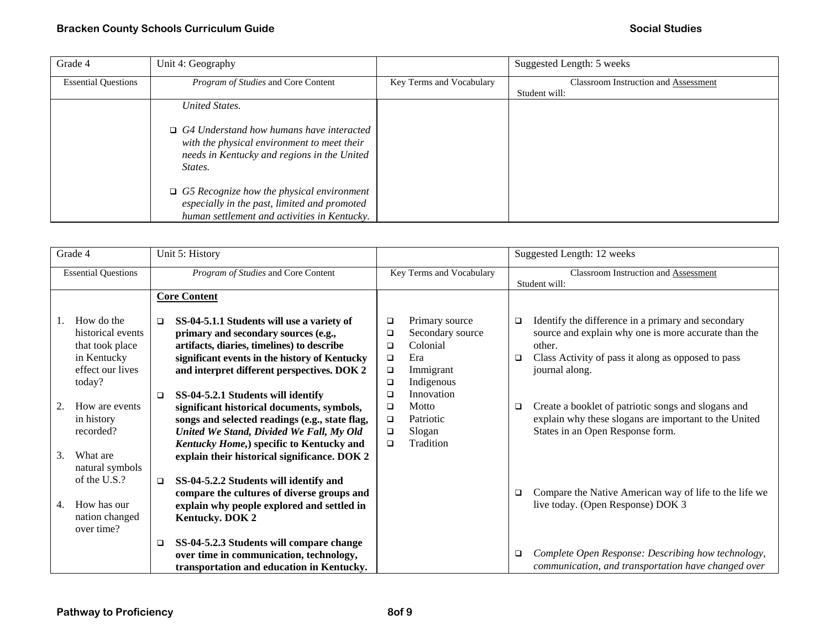| Grade 4                    | Unit 4: Geography                                                                                                                                        |                          | Suggested Length: 5 weeks                   |
|----------------------------|----------------------------------------------------------------------------------------------------------------------------------------------------------|--------------------------|---------------------------------------------|
| <b>Essential Questions</b> | Program of Studies and Core Content                                                                                                                      | Key Terms and Vocabulary | <b>Classroom Instruction and Assessment</b> |
|                            |                                                                                                                                                          |                          | Student will:                               |
|                            | United States.                                                                                                                                           |                          |                                             |
|                            | $\Box$ G4 Understand how humans have interacted<br>with the physical environment to meet their<br>needs in Kentucky and regions in the United<br>States. |                          |                                             |
|                            | $\Box$ G5 Recognize how the physical environment<br>especially in the past, limited and promoted<br>human settlement and activities in Kentucky.         |                          |                                             |

| Grade 4                                                                                         |  | Unit 5: History                     |                                                                                                                                                                                                                                                                            |                                      |                                                                                  |                  | Suggested Length: 12 weeks                                                                                                                                                                   |  |
|-------------------------------------------------------------------------------------------------|--|-------------------------------------|----------------------------------------------------------------------------------------------------------------------------------------------------------------------------------------------------------------------------------------------------------------------------|--------------------------------------|----------------------------------------------------------------------------------|------------------|----------------------------------------------------------------------------------------------------------------------------------------------------------------------------------------------|--|
| <b>Essential Questions</b>                                                                      |  | Program of Studies and Core Content |                                                                                                                                                                                                                                                                            | Key Terms and Vocabulary             |                                                                                  |                  | <b>Classroom Instruction and Assessment</b><br>Student will:                                                                                                                                 |  |
|                                                                                                 |  |                                     | <b>Core Content</b>                                                                                                                                                                                                                                                        |                                      |                                                                                  |                  |                                                                                                                                                                                              |  |
| How do the<br>historical events<br>that took place<br>in Kentucky<br>effect our lives<br>today? |  | $\Box$                              | SS-04-5.1.1 Students will use a variety of<br>primary and secondary sources (e.g.,<br>artifacts, diaries, timelines) to describe<br>significant events in the history of Kentucky<br>and interpret different perspectives. DOK 2                                           | ▫<br>□<br>□<br>$\Box$<br>□           | Primary source<br>Secondary source<br>Colonial<br>Era<br>Immigrant<br>Indigenous | $\Box$<br>$\Box$ | Identify the difference in a primary and secondary<br>source and explain why one is more accurate than the<br>other.<br>Class Activity of pass it along as opposed to pass<br>journal along. |  |
| 2.<br>How are events<br>in history<br>recorded?<br>3.<br>What are                               |  | $\Box$                              | SS-04-5.2.1 Students will identify<br>significant historical documents, symbols,<br>songs and selected readings (e.g., state flag,<br>United We Stand, Divided We Fall, My Old<br>Kentucky Home,) specific to Kentucky and<br>explain their historical significance. DOK 2 | □<br>$\Box$<br>$\Box$<br>$\Box$<br>□ | Innovation<br>Motto<br>Patriotic<br>Slogan<br>Tradition                          | ❏                | Create a booklet of patriotic songs and slogans and<br>explain why these slogans are important to the United<br>States in an Open Response form.                                             |  |
| natural symbols<br>of the U.S.?<br>How has our<br>4.<br>nation changed<br>over time?            |  | $\Box$<br>$\Box$                    | SS-04-5.2.2 Students will identify and<br>compare the cultures of diverse groups and<br>explain why people explored and settled in<br><b>Kentucky. DOK 2</b><br>SS-04-5.2.3 Students will compare change                                                                   |                                      |                                                                                  | ❏                | Compare the Native American way of life to the life we<br>live today. (Open Response) DOK 3                                                                                                  |  |
|                                                                                                 |  |                                     | over time in communication, technology,<br>transportation and education in Kentucky.                                                                                                                                                                                       |                                      |                                                                                  | $\Box$           | Complete Open Response: Describing how technology,<br>communication, and transportation have changed over                                                                                    |  |